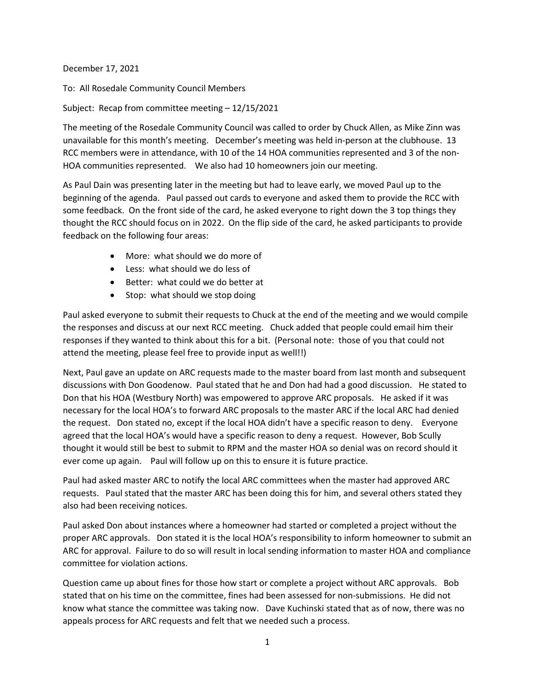December 17, 2021

To: All Rosedale Community Council Members

Subject: Recap from committee meeting – 12/15/2021

The meeting of the Rosedale Community Council was called to order by Chuck Allen, as Mike Zinn was unavailable for this month's meeting. December's meeting was held in-person at the clubhouse. 13 RCC members were in attendance, with 10 of the 14 HOA communities represented and 3 of the non-HOA communities represented. We also had 10 homeowners join our meeting.

As Paul Dain was presenting later in the meeting but had to leave early, we moved Paul up to the beginning of the agenda. Paul passed out cards to everyone and asked them to provide the RCC with some feedback. On the front side of the card, he asked everyone to right down the 3 top things they thought the RCC should focus on in 2022. On the flip side of the card, he asked participants to provide feedback on the following four areas:

- More: what should we do more of
- Less: what should we do less of
- Better: what could we do better at
- Stop: what should we stop doing

Paul asked everyone to submit their requests to Chuck at the end of the meeting and we would compile the responses and discuss at our next RCC meeting. Chuck added that people could email him their responses if they wanted to think about this for a bit. (Personal note: those of you that could not attend the meeting, please feel free to provide input as well!!)

Next, Paul gave an update on ARC requests made to the master board from last month and subsequent discussions with Don Goodenow. Paul stated that he and Don had had a good discussion. He stated to Don that his HOA (Westbury North) was empowered to approve ARC proposals. He asked if it was necessary for the local HOA's to forward ARC proposals to the master ARC if the local ARC had denied the request. Don stated no, except if the local HOA didn't have a specific reason to deny. Everyone agreed that the local HOA's would have a specific reason to deny a request. However, Bob Scully thought it would still be best to submit to RPM and the master HOA so denial was on record should it ever come up again. Paul will follow up on this to ensure it is future practice.

Paul had asked master ARC to notify the local ARC committees when the master had approved ARC requests. Paul stated that the master ARC has been doing this for him, and several others stated they also had been receiving notices.

Paul asked Don about instances where a homeowner had started or completed a project without the proper ARC approvals. Don stated it is the local HOA's responsibility to inform homeowner to submit an ARC for approval. Failure to do so will result in local sending information to master HOA and compliance committee for violation actions.

Question came up about fines for those how start or complete a project without ARC approvals. Bob stated that on his time on the committee, fines had been assessed for non-submissions. He did not know what stance the committee was taking now. Dave Kuchinski stated that as of now, there was no appeals process for ARC requests and felt that we needed such a process.